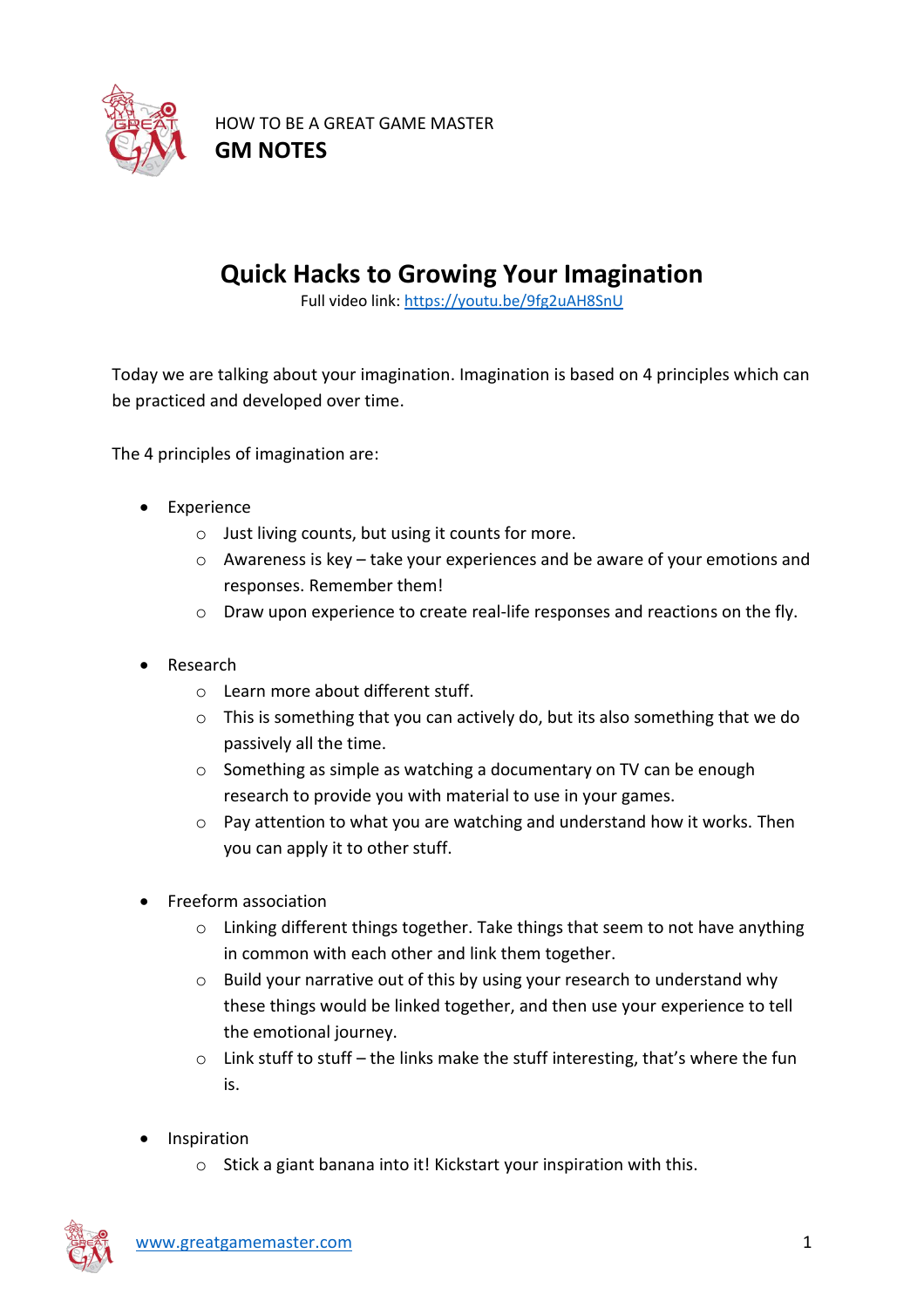

HOW TO BE A GREAT GAME MASTER **GM NOTES**

## **Quick Hacks to Growing Your Imagination**

Full video link:<https://youtu.be/9fg2uAH8SnU>

Today we are talking about your imagination. Imagination is based on 4 principles which can be practiced and developed over time.

The 4 principles of imagination are:

- Experience
	- o Just living counts, but using it counts for more.
	- o Awareness is key take your experiences and be aware of your emotions and responses. Remember them!
	- o Draw upon experience to create real-life responses and reactions on the fly.
- Research
	- o Learn more about different stuff.
	- $\circ$  This is something that you can actively do, but its also something that we do passively all the time.
	- o Something as simple as watching a documentary on TV can be enough research to provide you with material to use in your games.
	- $\circ$  Pay attention to what you are watching and understand how it works. Then you can apply it to other stuff.
- Freeform association
	- $\circ$  Linking different things together. Take things that seem to not have anything in common with each other and link them together.
	- o Build your narrative out of this by using your research to understand why these things would be linked together, and then use your experience to tell the emotional journey.
	- $\circ$  Link stuff to stuff the links make the stuff interesting, that's where the fun is.
- **Inspiration** 
	- o Stick a giant banana into it! Kickstart your inspiration with this.